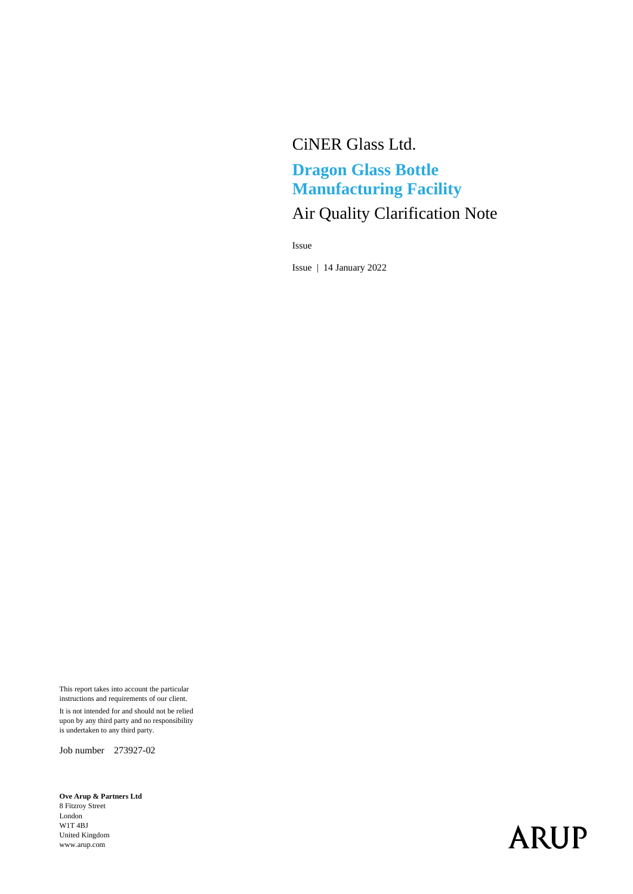### CiNER Glass Ltd. **Dragon Glass Bottle Manufacturing Facility** Air Quality Clarification Note

Issue

Issue | 14 January 2022

This report takes into account the particular instructions and requirements of our client. It is not intended for and should not be relied upon by any third party and no responsibility is undertaken to any third party.

Job number 273927-02

**Ove Arup & Partners Ltd** 8 Fitzroy Street London W1T 4BJ United Kingdom www.arup.com

# **ARUP**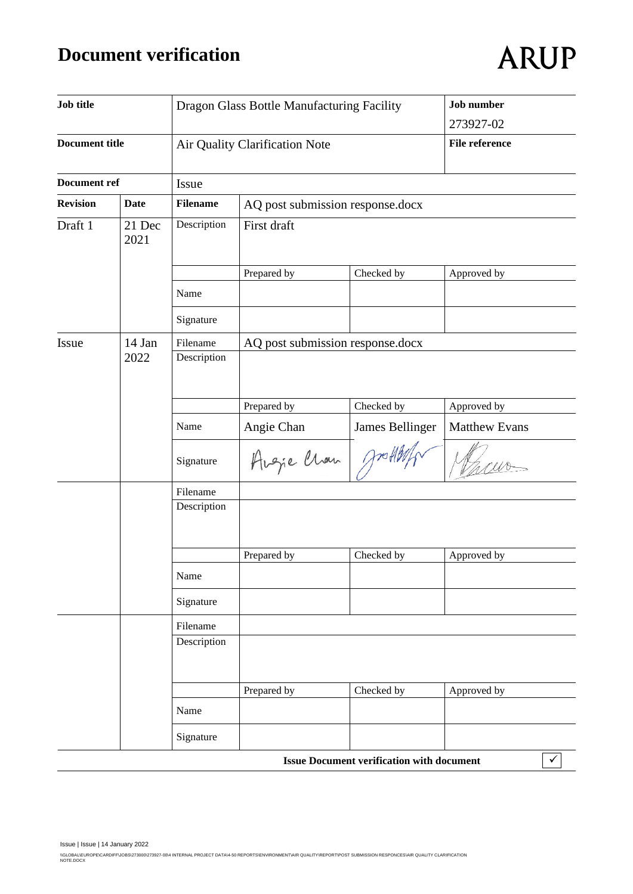### **Document verification**

# **ARUP**

| Job title             |                | Dragon Glass Bottle Manufacturing Facility |                                  |                                                  | <b>Job number</b>     |  |  |
|-----------------------|----------------|--------------------------------------------|----------------------------------|--------------------------------------------------|-----------------------|--|--|
|                       |                |                                            |                                  | 273927-02                                        |                       |  |  |
| <b>Document title</b> |                | Air Quality Clarification Note             |                                  |                                                  | <b>File reference</b> |  |  |
| <b>Document ref</b>   |                | <b>Issue</b>                               |                                  |                                                  |                       |  |  |
| <b>Revision</b>       | <b>Date</b>    | <b>Filename</b>                            | AQ post submission response.docx |                                                  |                       |  |  |
| Draft 1               | 21 Dec<br>2021 | Description                                | First draft                      |                                                  |                       |  |  |
|                       |                |                                            | Prepared by                      | Checked by                                       | Approved by           |  |  |
|                       |                | Name                                       |                                  |                                                  |                       |  |  |
|                       |                | Signature                                  |                                  |                                                  |                       |  |  |
| Issue                 | 14 Jan         | Filename                                   | AQ post submission response.docx |                                                  |                       |  |  |
|                       | 2022           | Description                                |                                  |                                                  |                       |  |  |
|                       |                |                                            | Prepared by                      | Checked by                                       | Approved by           |  |  |
|                       |                | Name                                       | Angie Chan                       | James Bellinger                                  | <b>Matthew Evans</b>  |  |  |
|                       |                | Signature                                  | Augie Chan                       |                                                  |                       |  |  |
|                       |                | Filename                                   |                                  |                                                  |                       |  |  |
|                       |                | Description                                |                                  |                                                  |                       |  |  |
|                       |                |                                            | Prepared by                      | Checked by                                       | Approved by           |  |  |
|                       |                | Name                                       |                                  |                                                  |                       |  |  |
|                       |                | Signature                                  |                                  |                                                  |                       |  |  |
|                       |                | Filename                                   |                                  |                                                  |                       |  |  |
|                       |                | Description                                |                                  |                                                  |                       |  |  |
|                       |                |                                            | Prepared by                      | Checked by                                       | Approved by           |  |  |
|                       |                | Name                                       |                                  |                                                  |                       |  |  |
|                       |                | Signature                                  |                                  |                                                  |                       |  |  |
|                       |                |                                            |                                  | <b>Issue Document verification with document</b> | $\checkmark$          |  |  |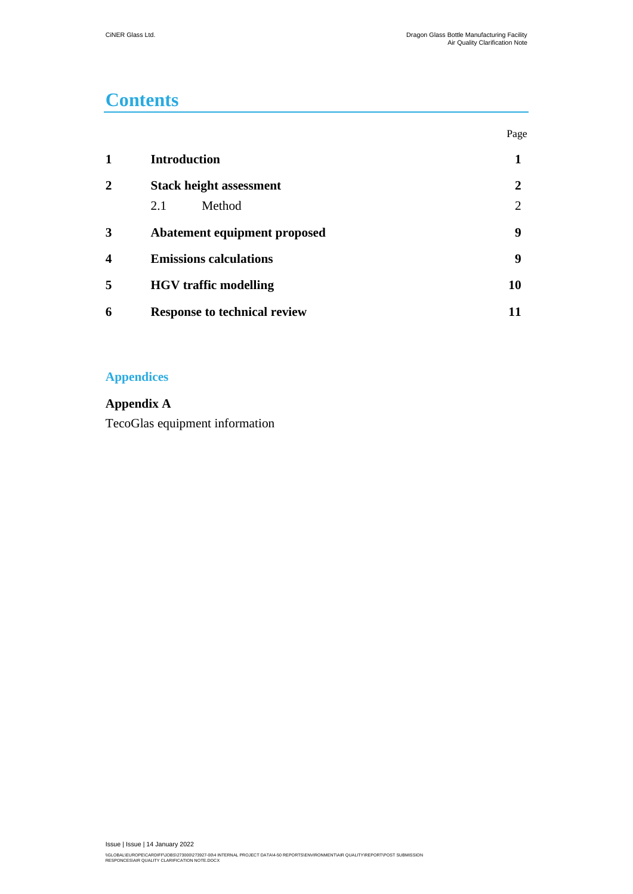### **Contents**

|                |                                     | Page                        |
|----------------|-------------------------------------|-----------------------------|
| 1              | <b>Introduction</b>                 |                             |
| $\overline{2}$ | <b>Stack height assessment</b>      | 2                           |
|                | Method<br>2.1                       | $\mathcal{D}_{\mathcal{L}}$ |
| 3              | Abatement equipment proposed        | 9                           |
| 4              | <b>Emissions calculations</b>       | 9                           |
| 5              | <b>HGV</b> traffic modelling        | 10                          |
| 6              | <b>Response to technical review</b> |                             |

#### **Appendices**

**[Appendix A](#page-19-0)** [TecoGlas equipment information](#page-19-1)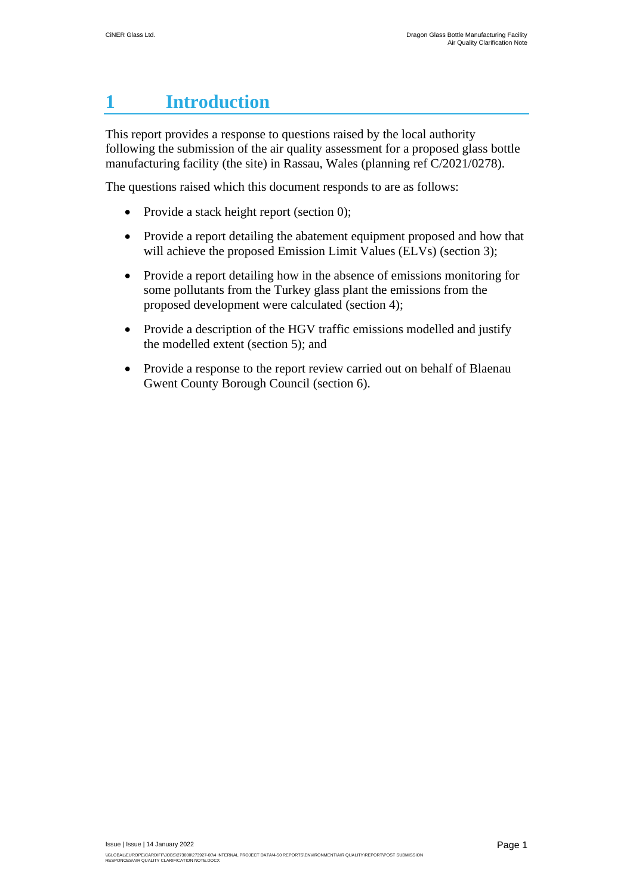### <span id="page-3-0"></span>**1 Introduction**

This report provides a response to questions raised by the local authority following the submission of the air quality assessment for a proposed glass bottle manufacturing facility (the site) in Rassau, Wales (planning ref C/2021/0278).

The questions raised which this document responds to are as follows:

- Provide a stack height report (section [0\)](#page-3-1);
- Provide a report detailing the abatement equipment proposed and how that will achieve the proposed Emission Limit Values (ELVs) (section [3\)](#page-11-2);
- Provide a report detailing how in the absence of emissions monitoring for some pollutants from the Turkey glass plant the emissions from the proposed development were calculated (section [4\)](#page-11-3);
- Provide a description of the HGV traffic emissions modelled and justify the modelled extent (section [5\)](#page-12-1); and
- <span id="page-3-1"></span>• Provide a response to the report review carried out on behalf of Blaenau Gwent County Borough Council (section [6\)](#page-13-1).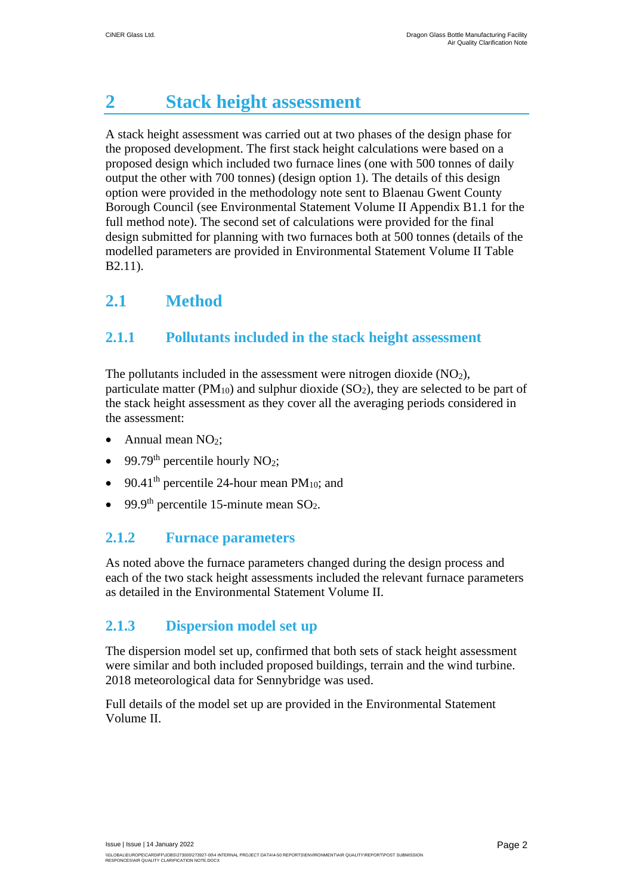### <span id="page-4-0"></span>**2 Stack height assessment**

A stack height assessment was carried out at two phases of the design phase for the proposed development. The first stack height calculations were based on a proposed design which included two furnace lines (one with 500 tonnes of daily output the other with 700 tonnes) (design option 1). The details of this design option were provided in the methodology note sent to Blaenau Gwent County Borough Council (see Environmental Statement Volume II Appendix B1.1 for the full method note). The second set of calculations were provided for the final design submitted for planning with two furnaces both at 500 tonnes (details of the modelled parameters are provided in Environmental Statement Volume II Table B2.11).

#### <span id="page-4-1"></span>**2.1 Method**

#### **2.1.1 Pollutants included in the stack height assessment**

The pollutants included in the assessment were nitrogen dioxide  $(NO<sub>2</sub>)$ , particulate matter ( $PM_{10}$ ) and sulphur dioxide ( $SO_2$ ), they are selected to be part of the stack height assessment as they cover all the averaging periods considered in the assessment:

- Annual mean  $NO<sub>2</sub>$ ;
- 99.79<sup>th</sup> percentile hourly  $NO<sub>2</sub>$ ;
- 90.41<sup>th</sup> percentile 24-hour mean PM<sub>10</sub>; and
- 99.9<sup>th</sup> percentile 15-minute mean  $SO_2$ .

#### **2.1.2 Furnace parameters**

As noted above the furnace parameters changed during the design process and each of the two stack height assessments included the relevant furnace parameters as detailed in the Environmental Statement Volume II.

#### **2.1.3 Dispersion model set up**

The dispersion model set up, confirmed that both sets of stack height assessment were similar and both included proposed buildings, terrain and the wind turbine. 2018 meteorological data for Sennybridge was used.

Full details of the model set up are provided in the Environmental Statement Volume II.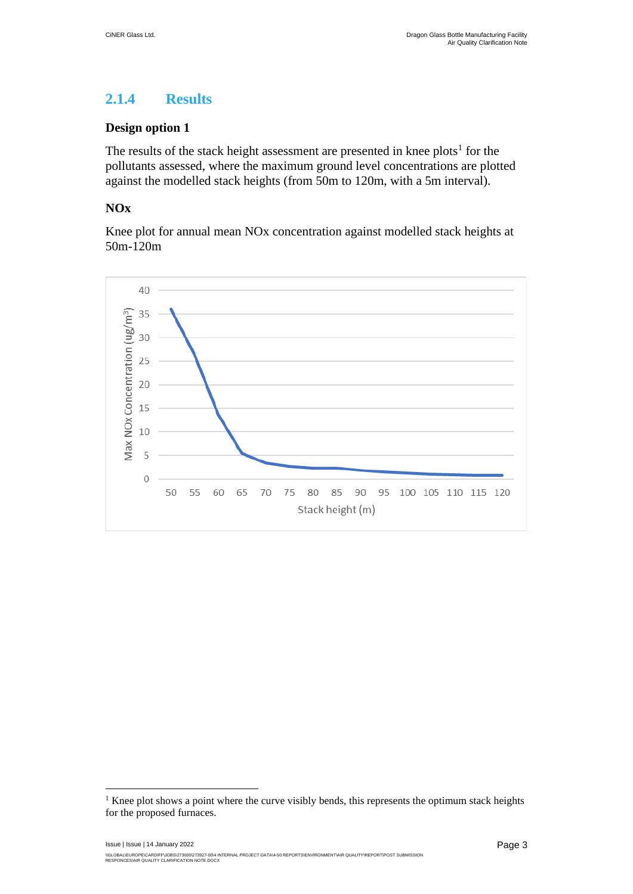#### **2.1.4 Results**

#### **Design option 1**

The results of the stack height assessment are presented in knee plots<sup>1</sup> for the pollutants assessed, where the maximum ground level concentrations are plotted against the modelled stack heights (from 50m to 120m, with a 5m interval).

#### **NOx**

Knee plot for annual mean NOx concentration against modelled stack heights at 50m-120m



 $1$  Knee plot shows a point where the curve visibly bends, this represents the optimum stack heights for the proposed furnaces.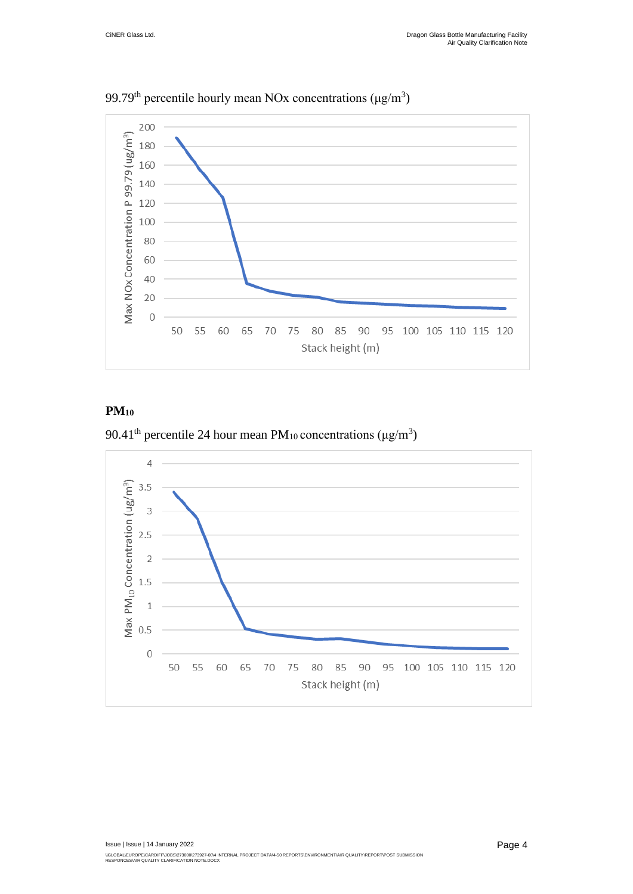



#### **PM<sup>10</sup>**



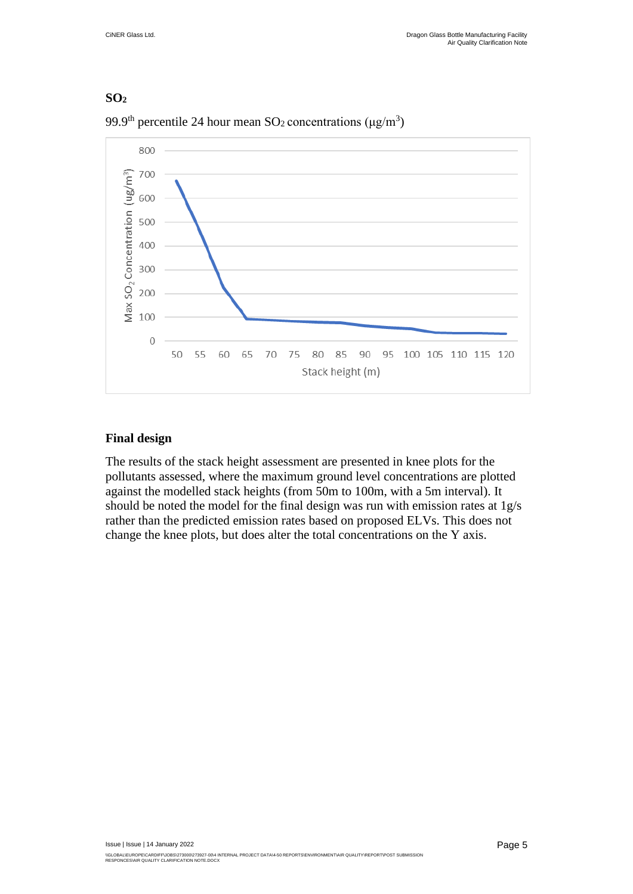#### **SO<sup>2</sup>**



#### 99.9<sup>th</sup> percentile 24 hour mean  $SO_2$  concentrations ( $\mu$ g/m<sup>3</sup>)

#### **Final design**

The results of the stack height assessment are presented in knee plots for the pollutants assessed, where the maximum ground level concentrations are plotted against the modelled stack heights (from 50m to 100m, with a 5m interval). It should be noted the model for the final design was run with emission rates at 1g/s rather than the predicted emission rates based on proposed ELVs. This does not change the knee plots, but does alter the total concentrations on the Y axis.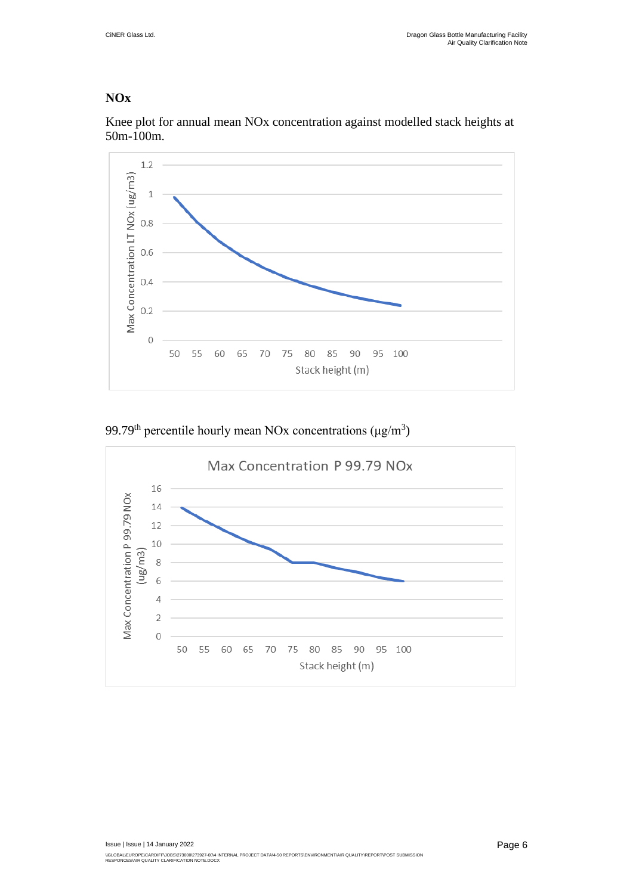#### **NOx**



Knee plot for annual mean NOx concentration against modelled stack heights at 50m-100m.

99.79<sup>th</sup> percentile hourly mean NOx concentrations ( $\mu$ g/m<sup>3</sup>)

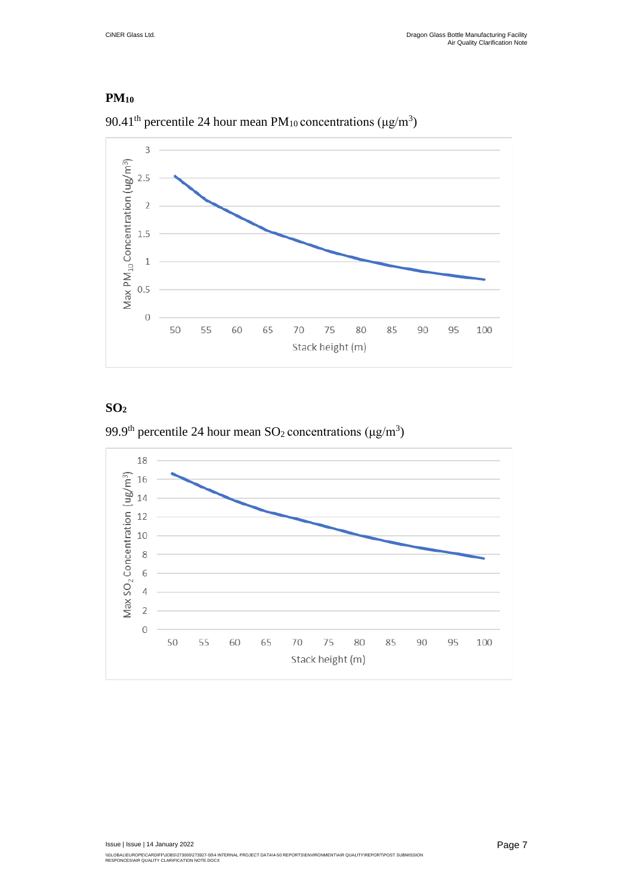#### **PM<sup>10</sup>**





#### **SO<sup>2</sup>**



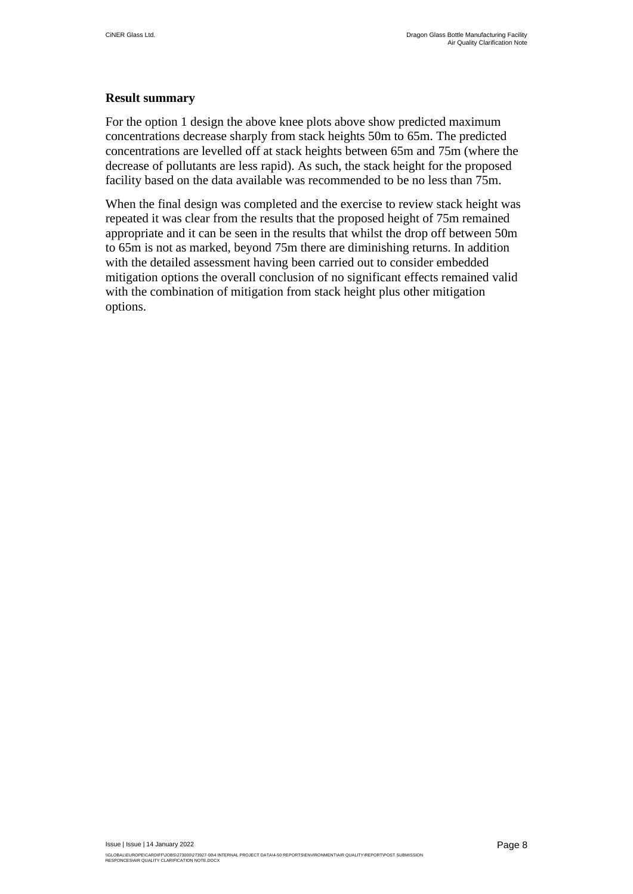#### **Result summary**

For the option 1 design the above knee plots above show predicted maximum concentrations decrease sharply from stack heights 50m to 65m. The predicted concentrations are levelled off at stack heights between 65m and 75m (where the decrease of pollutants are less rapid). As such, the stack height for the proposed facility based on the data available was recommended to be no less than 75m.

When the final design was completed and the exercise to review stack height was repeated it was clear from the results that the proposed height of 75m remained appropriate and it can be seen in the results that whilst the drop off between 50m to 65m is not as marked, beyond 75m there are diminishing returns. In addition with the detailed assessment having been carried out to consider embedded mitigation options the overall conclusion of no significant effects remained valid with the combination of mitigation from stack height plus other mitigation options.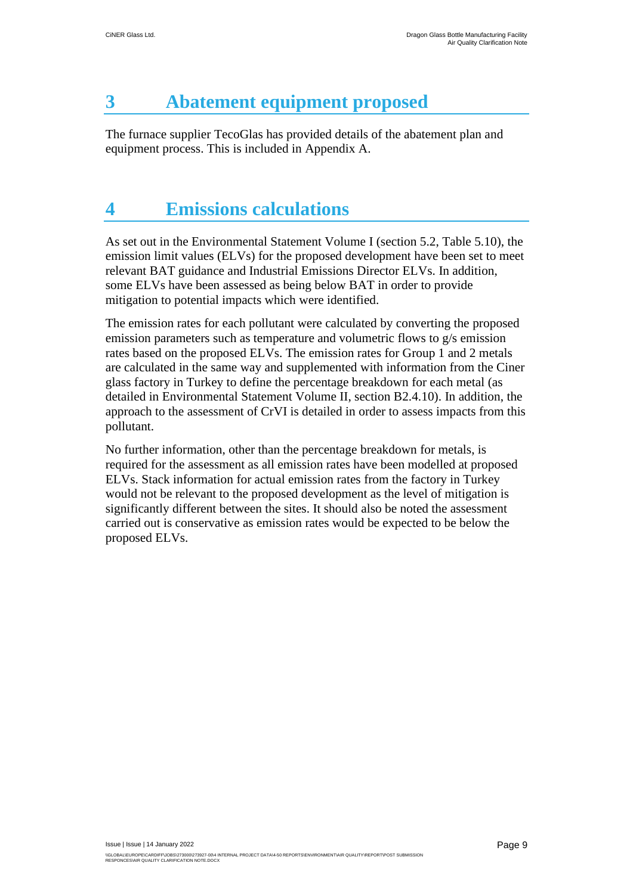### <span id="page-11-4"></span><span id="page-11-2"></span><span id="page-11-0"></span>**3 Abatement equipment proposed**

The furnace supplier TecoGlas has provided details of the abatement plan and equipment process. This is included in [Appendix A.](#page-19-2)

### <span id="page-11-3"></span><span id="page-11-1"></span>**4 Emissions calculations**

As set out in the Environmental Statement Volume I (section 5.2, Table 5.10), the emission limit values (ELVs) for the proposed development have been set to meet relevant BAT guidance and Industrial Emissions Director ELVs. In addition, some ELVs have been assessed as being below BAT in order to provide mitigation to potential impacts which were identified.

The emission rates for each pollutant were calculated by converting the proposed emission parameters such as temperature and volumetric flows to g/s emission rates based on the proposed ELVs. The emission rates for Group 1 and 2 metals are calculated in the same way and supplemented with information from the Ciner glass factory in Turkey to define the percentage breakdown for each metal (as detailed in Environmental Statement Volume II, section B2.4.10). In addition, the approach to the assessment of CrVI is detailed in order to assess impacts from this pollutant.

No further information, other than the percentage breakdown for metals, is required for the assessment as all emission rates have been modelled at proposed ELVs. Stack information for actual emission rates from the factory in Turkey would not be relevant to the proposed development as the level of mitigation is significantly different between the sites. It should also be noted the assessment carried out is conservative as emission rates would be expected to be below the proposed ELVs.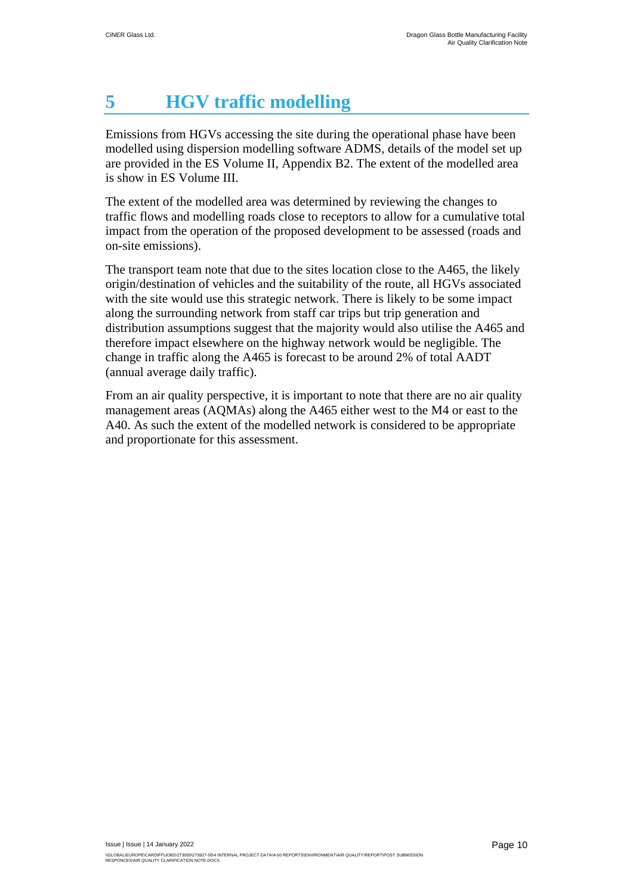## <span id="page-12-1"></span><span id="page-12-0"></span>**5 HGV traffic modelling**

Emissions from HGVs accessing the site during the operational phase have been modelled using dispersion modelling software ADMS, details of the model set up are provided in the ES Volume II, Appendix B2. The extent of the modelled area is show in ES Volume III.

The extent of the modelled area was determined by reviewing the changes to traffic flows and modelling roads close to receptors to allow for a cumulative total impact from the operation of the proposed development to be assessed (roads and on-site emissions).

The transport team note that due to the sites location close to the A465, the likely origin/destination of vehicles and the suitability of the route, all HGVs associated with the site would use this strategic network. There is likely to be some impact along the surrounding network from staff car trips but trip generation and distribution assumptions suggest that the majority would also utilise the A465 and therefore impact elsewhere on the highway network would be negligible. The change in traffic along the A465 is forecast to be around 2% of total AADT (annual average daily traffic).

From an air quality perspective, it is important to note that there are no air quality management areas (AQMAs) along the A465 either west to the M4 or east to the A40. As such the extent of the modelled network is considered to be appropriate and proportionate for this assessment.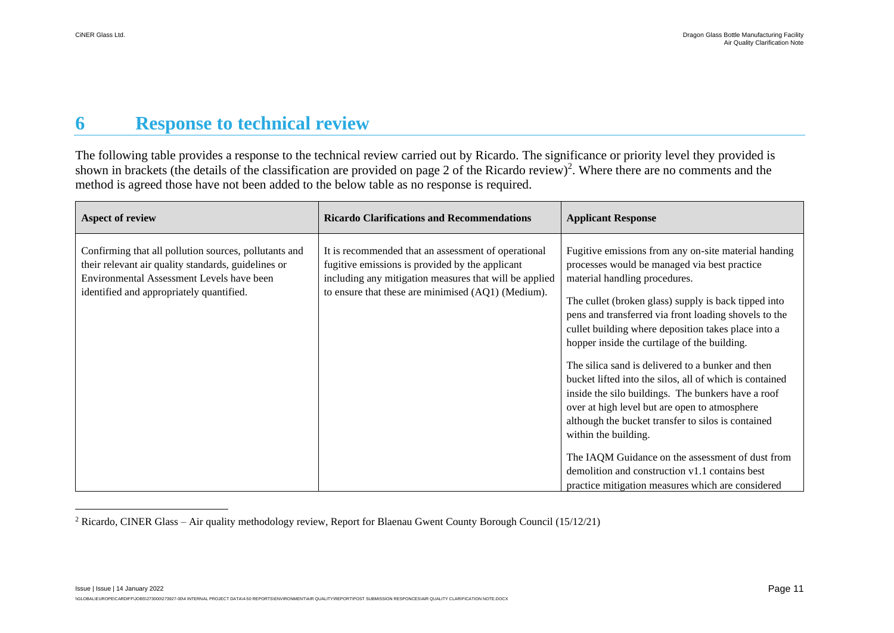### **6 Response to technical review**

The following table provides a response to the technical review carried out by Ricardo. The significance or priority level they provided is shown in brackets (the details of the classification are provided on page 2 of the Ricardo review)<sup>2</sup>. Where there are no comments and the method is agreed those have not been added to the below table as no response is required.

| <b>Aspect of review</b>                                                                                                                                                                               | <b>Ricardo Clarifications and Recommendations</b>                                                                                                                                                                      | <b>Applicant Response</b>                                                                                                                                                                                                                                                                                                                                                                                                                                                                                                                                                                                                                                                                                                                                                                                                     |
|-------------------------------------------------------------------------------------------------------------------------------------------------------------------------------------------------------|------------------------------------------------------------------------------------------------------------------------------------------------------------------------------------------------------------------------|-------------------------------------------------------------------------------------------------------------------------------------------------------------------------------------------------------------------------------------------------------------------------------------------------------------------------------------------------------------------------------------------------------------------------------------------------------------------------------------------------------------------------------------------------------------------------------------------------------------------------------------------------------------------------------------------------------------------------------------------------------------------------------------------------------------------------------|
| Confirming that all pollution sources, pollutants and<br>their relevant air quality standards, guidelines or<br>Environmental Assessment Levels have been<br>identified and appropriately quantified. | It is recommended that an assessment of operational<br>fugitive emissions is provided by the applicant<br>including any mitigation measures that will be applied<br>to ensure that these are minimised (AQ1) (Medium). | Fugitive emissions from any on-site material handing<br>processes would be managed via best practice<br>material handling procedures.<br>The cullet (broken glass) supply is back tipped into<br>pens and transferred via front loading shovels to the<br>cullet building where deposition takes place into a<br>hopper inside the curtilage of the building.<br>The silica sand is delivered to a bunker and then<br>bucket lifted into the silos, all of which is contained<br>inside the silo buildings. The bunkers have a roof<br>over at high level but are open to atmosphere<br>although the bucket transfer to silos is contained<br>within the building.<br>The IAQM Guidance on the assessment of dust from<br>demolition and construction v1.1 contains best<br>practice mitigation measures which are considered |

<span id="page-13-1"></span><span id="page-13-0"></span><sup>2</sup> Ricardo, CINER Glass – Air quality methodology review, Report for Blaenau Gwent County Borough Council (15/12/21)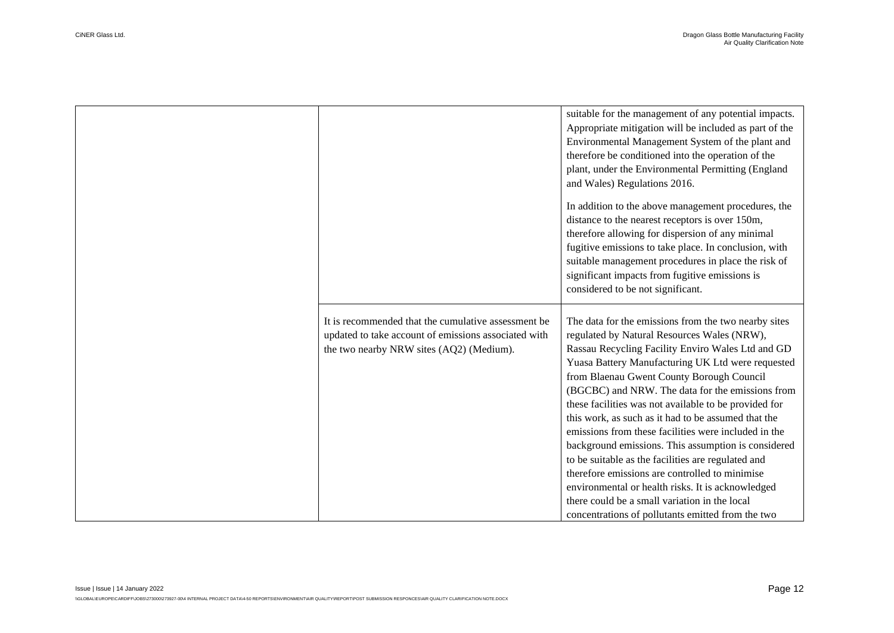|                                                                                                                                                          | suitable for the management of any potential impacts.<br>Appropriate mitigation will be included as part of the<br>Environmental Management System of the plant and<br>therefore be conditioned into the operation of the<br>plant, under the Environmental Permitting (England<br>and Wales) Regulations 2016.<br>In addition to the above management procedures, the<br>distance to the nearest receptors is over 150m,<br>therefore allowing for dispersion of any minimal<br>fugitive emissions to take place. In conclusion, with<br>suitable management procedures in place the risk of<br>significant impacts from fugitive emissions is<br>considered to be not significant. |
|----------------------------------------------------------------------------------------------------------------------------------------------------------|--------------------------------------------------------------------------------------------------------------------------------------------------------------------------------------------------------------------------------------------------------------------------------------------------------------------------------------------------------------------------------------------------------------------------------------------------------------------------------------------------------------------------------------------------------------------------------------------------------------------------------------------------------------------------------------|
| It is recommended that the cumulative assessment be.<br>updated to take account of emissions associated with<br>the two nearby NRW sites (AQ2) (Medium). | The data for the emissions from the two nearby sites<br>regulated by Natural Resources Wales (NRW),<br>Rassau Recycling Facility Enviro Wales Ltd and GD<br>Yuasa Battery Manufacturing UK Ltd were requested<br>from Blaenau Gwent County Borough Council<br>(BGCBC) and NRW. The data for the emissions from<br>these facilities was not available to be provided for<br>this work, as such as it had to be assumed that the<br>emissions from these facilities were included in the                                                                                                                                                                                               |
|                                                                                                                                                          | background emissions. This assumption is considered<br>to be suitable as the facilities are regulated and<br>therefore emissions are controlled to minimise<br>environmental or health risks. It is acknowledged<br>there could be a small variation in the local<br>concentrations of pollutants emitted from the two                                                                                                                                                                                                                                                                                                                                                               |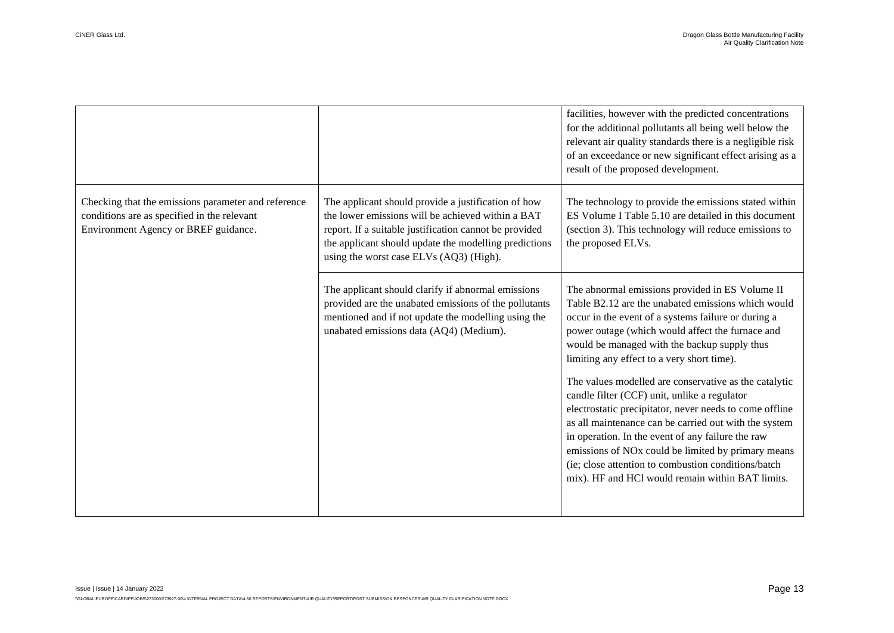|                                                                                                                                                                                                                                                                        | facilities, however with the predicted concentrations<br>for the additional pollutants all being well below the<br>relevant air quality standards there is a negligible risk<br>of an exceedance or new significant effect arising as a<br>result of the proposed development.                                                                                                                                                                                                                                                                                                                                                                                                                                                                                                |
|------------------------------------------------------------------------------------------------------------------------------------------------------------------------------------------------------------------------------------------------------------------------|-------------------------------------------------------------------------------------------------------------------------------------------------------------------------------------------------------------------------------------------------------------------------------------------------------------------------------------------------------------------------------------------------------------------------------------------------------------------------------------------------------------------------------------------------------------------------------------------------------------------------------------------------------------------------------------------------------------------------------------------------------------------------------|
| The applicant should provide a justification of how<br>the lower emissions will be achieved within a BAT<br>report. If a suitable justification cannot be provided<br>the applicant should update the modelling predictions<br>using the worst case ELVs (AQ3) (High). | The technology to provide the emissions stated within<br>ES Volume I Table 5.10 are detailed in this document<br>(section 3). This technology will reduce emissions to<br>the proposed ELVs.                                                                                                                                                                                                                                                                                                                                                                                                                                                                                                                                                                                  |
| The applicant should clarify if abnormal emissions<br>provided are the unabated emissions of the pollutants<br>mentioned and if not update the modelling using the<br>unabated emissions data (AQ4) (Medium).                                                          | The abnormal emissions provided in ES Volume II<br>Table B2.12 are the unabated emissions which would<br>occur in the event of a systems failure or during a<br>power outage (which would affect the furnace and<br>would be managed with the backup supply thus<br>limiting any effect to a very short time).<br>The values modelled are conservative as the catalytic<br>candle filter (CCF) unit, unlike a regulator<br>electrostatic precipitator, never needs to come offline<br>as all maintenance can be carried out with the system<br>in operation. In the event of any failure the raw<br>emissions of NO <sub>x</sub> could be limited by primary means<br>(ie; close attention to combustion conditions/batch<br>mix). HF and HCl would remain within BAT limits. |
|                                                                                                                                                                                                                                                                        |                                                                                                                                                                                                                                                                                                                                                                                                                                                                                                                                                                                                                                                                                                                                                                               |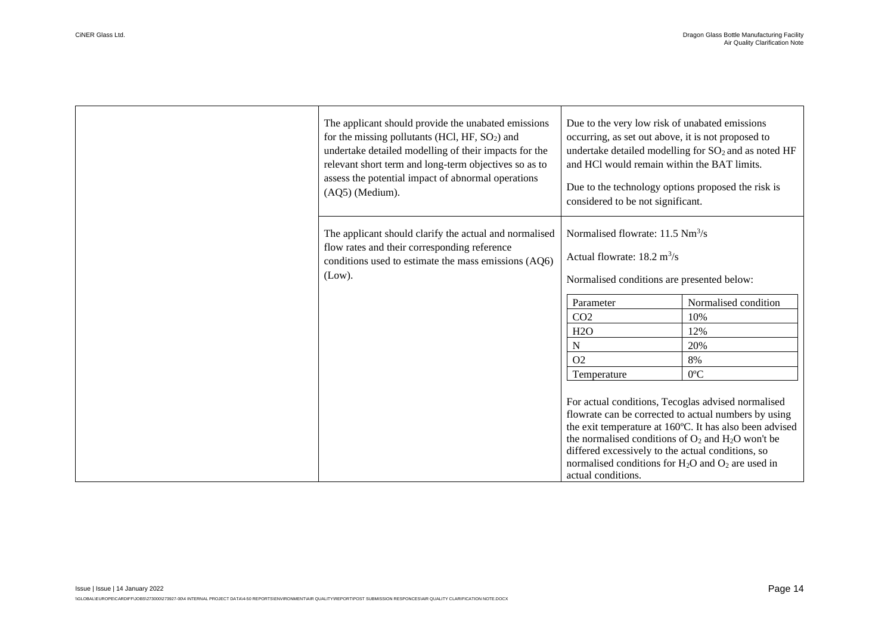| The applicant should provide the unabated emissions<br>for the missing pollutants (HCl, HF, SO <sub>2</sub> ) and<br>undertake detailed modelling of their impacts for the<br>relevant short term and long-term objectives so as to<br>assess the potential impact of abnormal operations<br>(AQ5) (Medium). | Due to the very low risk of unabated emissions<br>occurring, as set out above, it is not proposed to<br>undertake detailed modelling for SO <sub>2</sub> and as noted HF<br>and HCl would remain within the BAT limits.<br>Due to the technology options proposed the risk is<br>considered to be not significant.<br>Normalised flowrate: $11.5 \text{ Nm}^3/\text{s}$<br>Actual flowrate: $18.2 \text{ m}^3\text{/s}$<br>Normalised conditions are presented below: |                                                                                                                                                                                                                                                                                                                                                              |
|--------------------------------------------------------------------------------------------------------------------------------------------------------------------------------------------------------------------------------------------------------------------------------------------------------------|-----------------------------------------------------------------------------------------------------------------------------------------------------------------------------------------------------------------------------------------------------------------------------------------------------------------------------------------------------------------------------------------------------------------------------------------------------------------------|--------------------------------------------------------------------------------------------------------------------------------------------------------------------------------------------------------------------------------------------------------------------------------------------------------------------------------------------------------------|
| The applicant should clarify the actual and normalised<br>flow rates and their corresponding reference<br>conditions used to estimate the mass emissions (AQ6)<br>$(Low)$ .                                                                                                                                  |                                                                                                                                                                                                                                                                                                                                                                                                                                                                       |                                                                                                                                                                                                                                                                                                                                                              |
|                                                                                                                                                                                                                                                                                                              | Parameter<br>CO <sub>2</sub><br>H2O<br>N<br>O <sub>2</sub><br>Temperature<br>differed excessively to the actual conditions, so<br>actual conditions.                                                                                                                                                                                                                                                                                                                  | Normalised condition<br>10%<br>12%<br>20%<br>8%<br>$0^{\circ}C$<br>For actual conditions, Tecoglas advised normalised<br>flowrate can be corrected to actual numbers by using<br>the exit temperature at 160°C. It has also been advised<br>the normalised conditions of $O_2$ and $H_2O$ won't be<br>normalised conditions for $H_2O$ and $O_2$ are used in |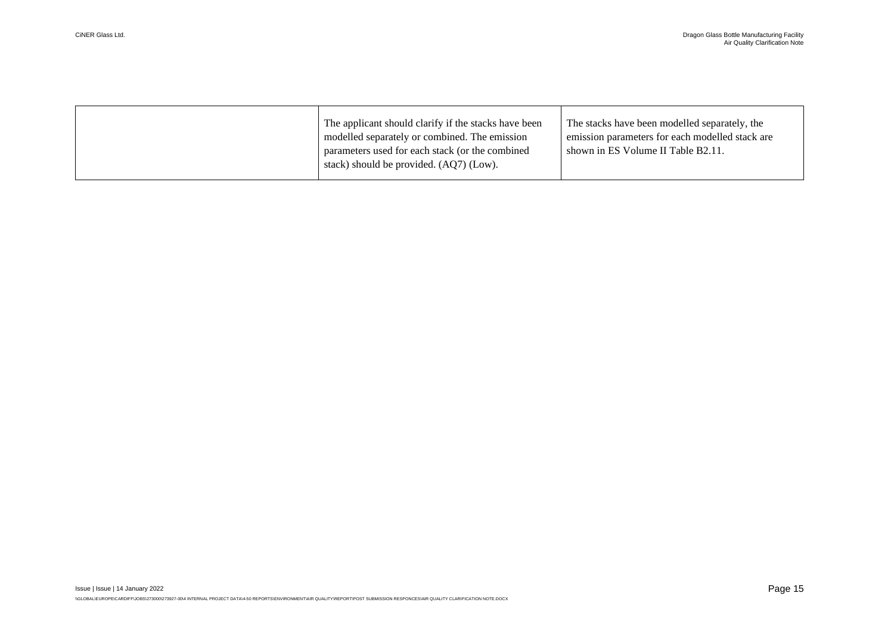| The applicant should clarify if the stacks have been<br>modelled separately or combined. The emission<br>parameters used for each stack (or the combined<br>stack) should be provided. (AQ7) (Low). | The stacks have been modelled separately, the<br>emission parameters for each modelled stack are<br>shown in ES Volume II Table B2.11. |
|-----------------------------------------------------------------------------------------------------------------------------------------------------------------------------------------------------|----------------------------------------------------------------------------------------------------------------------------------------|
|                                                                                                                                                                                                     |                                                                                                                                        |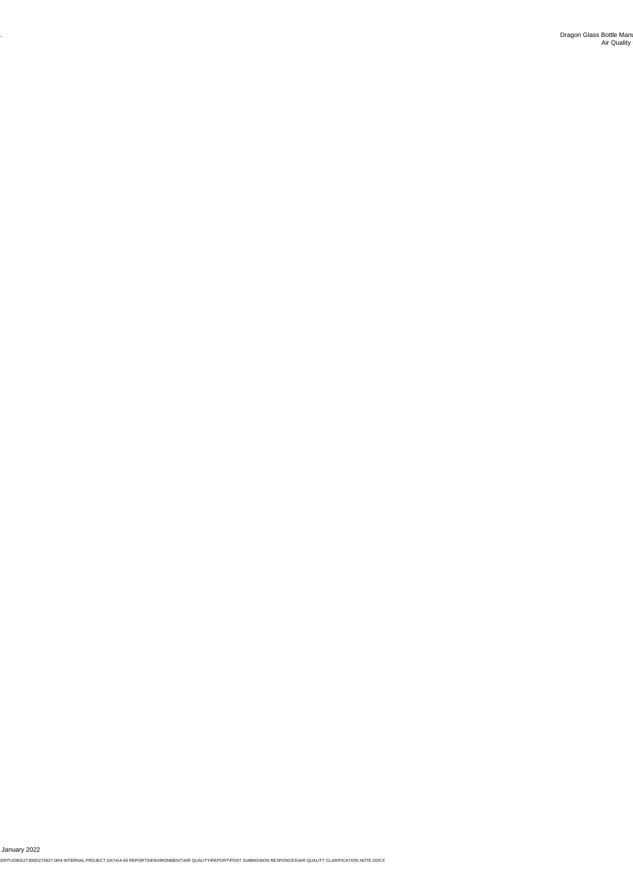Cine Glass Bottle Manu و Dragon Glass Bottle Manu<br>Air Quality جمع المستقل بين المستقل بين المستقل بين المستقل بين المستقل بين المستقل بين المستقل بين المستقل بي

.<br>DIFFJOBS\273000\273927-00\4 INTERNAL PROJECT DATA\4-50 REPORTS\ENVIRONMENT\AIR QUALITY\REPORT\POST SUBMISSION RESPONCES\AIR QUALITY CLARIFICATION NOTE.DOCX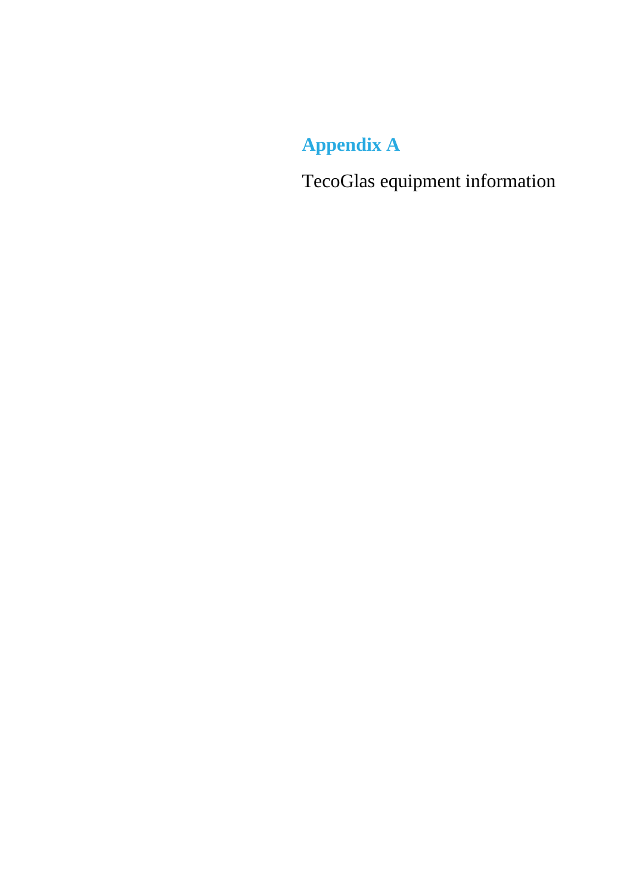## <span id="page-19-2"></span><span id="page-19-0"></span>**Appendix A**

<span id="page-19-1"></span>TecoGlas equipment information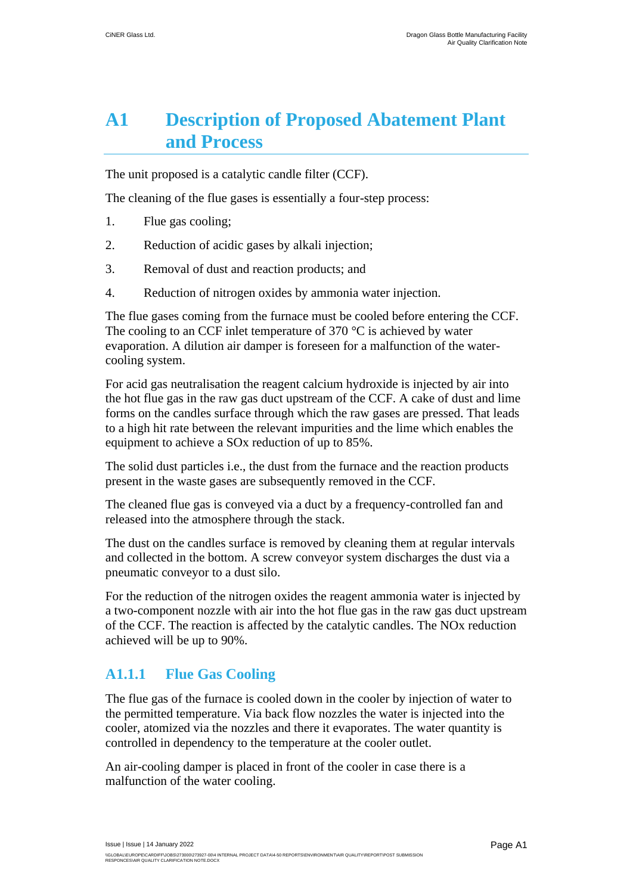### **A1 Description of Proposed Abatement Plant and Process**

The unit proposed is a catalytic candle filter (CCF).

The cleaning of the flue gases is essentially a four-step process:

- 1. Flue gas cooling;
- 2. Reduction of acidic gases by alkali injection;
- 3. Removal of dust and reaction products; and
- 4. Reduction of nitrogen oxides by ammonia water injection.

The flue gases coming from the furnace must be cooled before entering the CCF. The cooling to an CCF inlet temperature of 370  $\degree$ C is achieved by water evaporation. A dilution air damper is foreseen for a malfunction of the watercooling system.

For acid gas neutralisation the reagent calcium hydroxide is injected by air into the hot flue gas in the raw gas duct upstream of the CCF. A cake of dust and lime forms on the candles surface through which the raw gases are pressed. That leads to a high hit rate between the relevant impurities and the lime which enables the equipment to achieve a SOx reduction of up to 85%.

The solid dust particles i.e., the dust from the furnace and the reaction products present in the waste gases are subsequently removed in the CCF.

The cleaned flue gas is conveyed via a duct by a frequency-controlled fan and released into the atmosphere through the stack.

The dust on the candles surface is removed by cleaning them at regular intervals and collected in the bottom. A screw conveyor system discharges the dust via a pneumatic conveyor to a dust silo.

For the reduction of the nitrogen oxides the reagent ammonia water is injected by a two-component nozzle with air into the hot flue gas in the raw gas duct upstream of the CCF. The reaction is affected by the catalytic candles. The NOx reduction achieved will be up to 90%.

#### **A1.1.1 Flue Gas Cooling**

The flue gas of the furnace is cooled down in the cooler by injection of water to the permitted temperature. Via back flow nozzles the water is injected into the cooler, atomized via the nozzles and there it evaporates. The water quantity is controlled in dependency to the temperature at the cooler outlet.

An air-cooling damper is placed in front of the cooler in case there is a malfunction of the water cooling.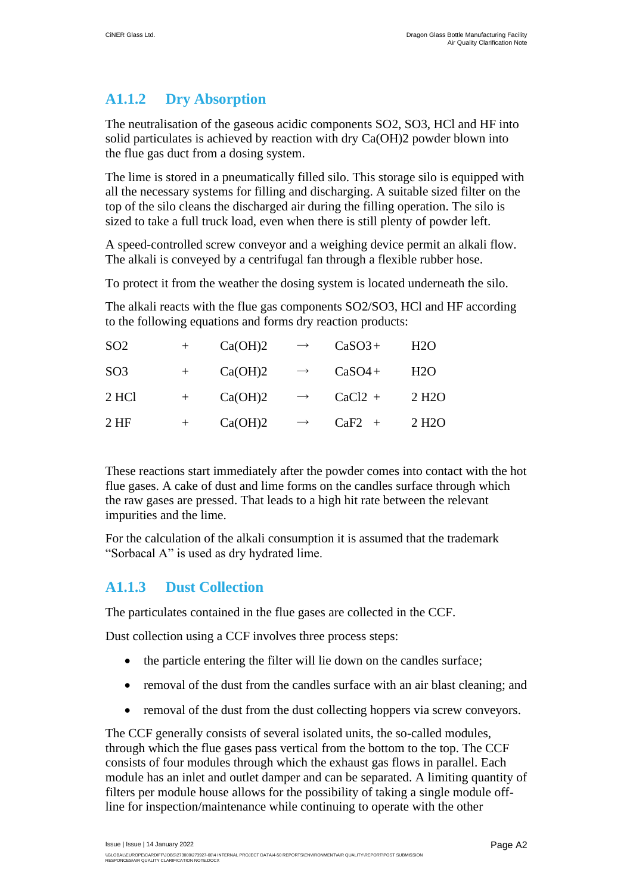#### **A1.1.2 Dry Absorption**

The neutralisation of the gaseous acidic components SO2, SO3, HCl and HF into solid particulates is achieved by reaction with dry Ca(OH)2 powder blown into the flue gas duct from a dosing system.

The lime is stored in a pneumatically filled silo. This storage silo is equipped with all the necessary systems for filling and discharging. A suitable sized filter on the top of the silo cleans the discharged air during the filling operation. The silo is sized to take a full truck load, even when there is still plenty of powder left.

A speed-controlled screw conveyor and a weighing device permit an alkali flow. The alkali is conveyed by a centrifugal fan through a flexible rubber hose.

To protect it from the weather the dosing system is located underneath the silo.

The alkali reacts with the flue gas components SO2/SO3, HCl and HF according to the following equations and forms dry reaction products:

| SO <sub>2</sub> | $+$ | Ca(OH)2 | $\rightarrow$ | $CaSO3+$  | H2O                |
|-----------------|-----|---------|---------------|-----------|--------------------|
| SO <sub>3</sub> |     | Ca(OH)2 | $\rightarrow$ | $CaSO4+$  | H2O                |
| 2 HCl           | $+$ | Ca(OH)2 | $\rightarrow$ | $CaCl2 +$ | 2 H <sub>2</sub> O |
| 2 HF            |     | Ca(OH)2 | $\rightarrow$ | $CaF2 +$  | 2 H2O              |

These reactions start immediately after the powder comes into contact with the hot flue gases. A cake of dust and lime forms on the candles surface through which the raw gases are pressed. That leads to a high hit rate between the relevant impurities and the lime.

For the calculation of the alkali consumption it is assumed that the trademark "Sorbacal A" is used as dry hydrated lime.

#### **A1.1.3 Dust Collection**

The particulates contained in the flue gases are collected in the CCF.

Dust collection using a CCF involves three process steps:

- the particle entering the filter will lie down on the candles surface;
- removal of the dust from the candles surface with an air blast cleaning; and
- removal of the dust from the dust collecting hoppers via screw conveyors.

The CCF generally consists of several isolated units, the so-called modules, through which the flue gases pass vertical from the bottom to the top. The CCF consists of four modules through which the exhaust gas flows in parallel. Each module has an inlet and outlet damper and can be separated. A limiting quantity of filters per module house allows for the possibility of taking a single module offline for inspection/maintenance while continuing to operate with the other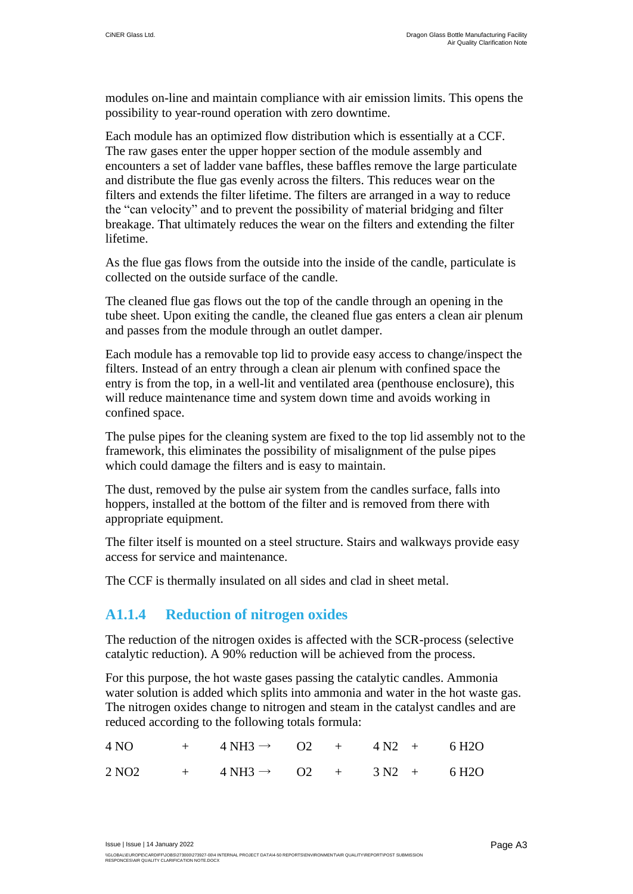modules on-line and maintain compliance with air emission limits. This opens the possibility to year-round operation with zero downtime.

Each module has an optimized flow distribution which is essentially at a CCF. The raw gases enter the upper hopper section of the module assembly and encounters a set of ladder vane baffles, these baffles remove the large particulate and distribute the flue gas evenly across the filters. This reduces wear on the filters and extends the filter lifetime. The filters are arranged in a way to reduce the "can velocity" and to prevent the possibility of material bridging and filter breakage. That ultimately reduces the wear on the filters and extending the filter lifetime.

As the flue gas flows from the outside into the inside of the candle, particulate is collected on the outside surface of the candle.

The cleaned flue gas flows out the top of the candle through an opening in the tube sheet. Upon exiting the candle, the cleaned flue gas enters a clean air plenum and passes from the module through an outlet damper.

Each module has a removable top lid to provide easy access to change/inspect the filters. Instead of an entry through a clean air plenum with confined space the entry is from the top, in a well-lit and ventilated area (penthouse enclosure), this will reduce maintenance time and system down time and avoids working in confined space.

The pulse pipes for the cleaning system are fixed to the top lid assembly not to the framework, this eliminates the possibility of misalignment of the pulse pipes which could damage the filters and is easy to maintain.

The dust, removed by the pulse air system from the candles surface, falls into hoppers, installed at the bottom of the filter and is removed from there with appropriate equipment.

The filter itself is mounted on a steel structure. Stairs and walkways provide easy access for service and maintenance.

The CCF is thermally insulated on all sides and clad in sheet metal.

#### **A1.1.4 Reduction of nitrogen oxides**

The reduction of the nitrogen oxides is affected with the SCR-process (selective catalytic reduction). A 90% reduction will be achieved from the process.

For this purpose, the hot waste gases passing the catalytic candles. Ammonia water solution is added which splits into ammonia and water in the hot waste gas. The nitrogen oxides change to nitrogen and steam in the catalyst candles and are reduced according to the following totals formula:

|  |  | $4 NQ + 4 NH3 \rightarrow Q2 + 4 N2 + 6 H2O$  |  |
|--|--|-----------------------------------------------|--|
|  |  | $2 NO2 + 4 NH3 \rightarrow O2 + 3 N2 + 6 H2O$ |  |